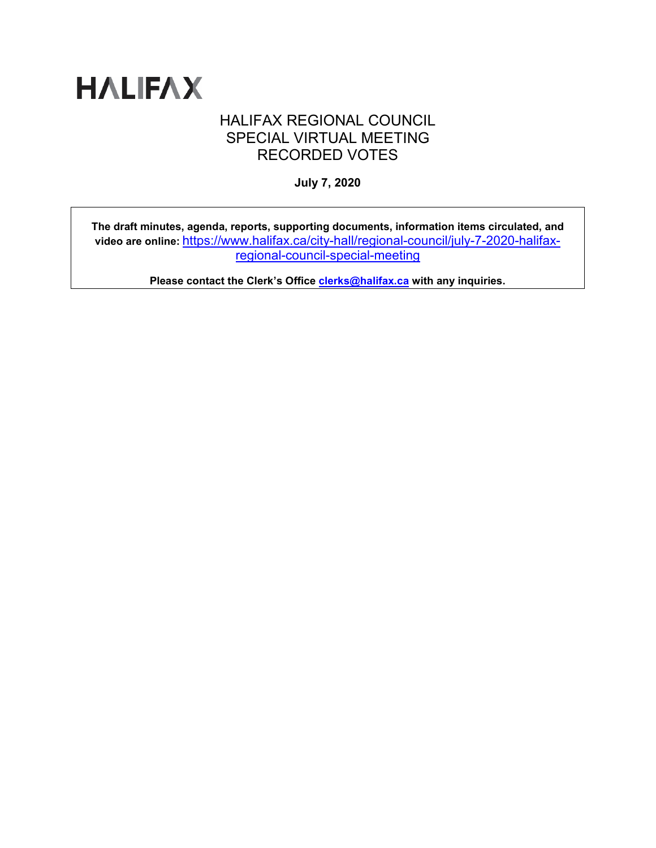

# HALIFAX REGIONAL COUNCIL SPECIAL VIRTUAL MEETING RECORDED VOTES

**July 7, 2020**

**The draft minutes, agenda, reports, supporting documents, information items circulated, and video are online:** [https://www.halifax.ca/city-hall/regional-council/july-7-2020-halifax](https://www.halifax.ca/city-hall/regional-council/july-7-2020-halifax-regional-council-special-meeting)[regional-council-special-meeting](https://www.halifax.ca/city-hall/regional-council/july-7-2020-halifax-regional-council-special-meeting)

**Please contact the Clerk's Office [clerks@halifax.ca](mailto:clerks@halifax.ca) with any inquiries.**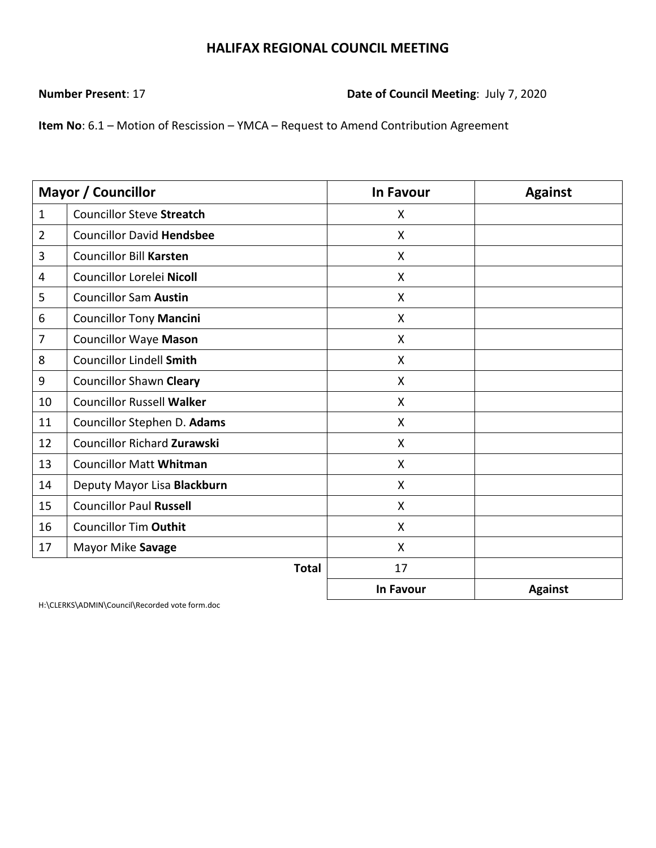**Number Present**: 17 **Date of Council Meeting**: July 7, 2020

**Item No**: 6.1 – Motion of Rescission – YMCA – Request to Amend Contribution Agreement

|                | <b>Mayor / Councillor</b>          | <b>In Favour</b>          | <b>Against</b> |
|----------------|------------------------------------|---------------------------|----------------|
| $\mathbf{1}$   | <b>Councillor Steve Streatch</b>   | X                         |                |
| $\overline{2}$ | <b>Councillor David Hendsbee</b>   | $\boldsymbol{\mathsf{X}}$ |                |
| 3              | <b>Councillor Bill Karsten</b>     | X                         |                |
| 4              | Councillor Lorelei Nicoll          | X                         |                |
| 5              | <b>Councillor Sam Austin</b>       | X                         |                |
| 6              | <b>Councillor Tony Mancini</b>     | X                         |                |
| $\overline{7}$ | <b>Councillor Waye Mason</b>       | X                         |                |
| 8              | <b>Councillor Lindell Smith</b>    | X                         |                |
| 9              | <b>Councillor Shawn Cleary</b>     | $\boldsymbol{\mathsf{X}}$ |                |
| 10             | <b>Councillor Russell Walker</b>   | X                         |                |
| 11             | Councillor Stephen D. Adams        | X                         |                |
| 12             | <b>Councillor Richard Zurawski</b> | X                         |                |
| 13             | <b>Councillor Matt Whitman</b>     | $\boldsymbol{\mathsf{X}}$ |                |
| 14             | Deputy Mayor Lisa Blackburn        | X                         |                |
| 15             | <b>Councillor Paul Russell</b>     | X                         |                |
| 16             | <b>Councillor Tim Outhit</b>       | $\boldsymbol{\mathsf{X}}$ |                |
| 17             | Mayor Mike Savage                  | X                         |                |
|                | <b>Total</b>                       | 17                        |                |
|                |                                    | In Favour                 | <b>Against</b> |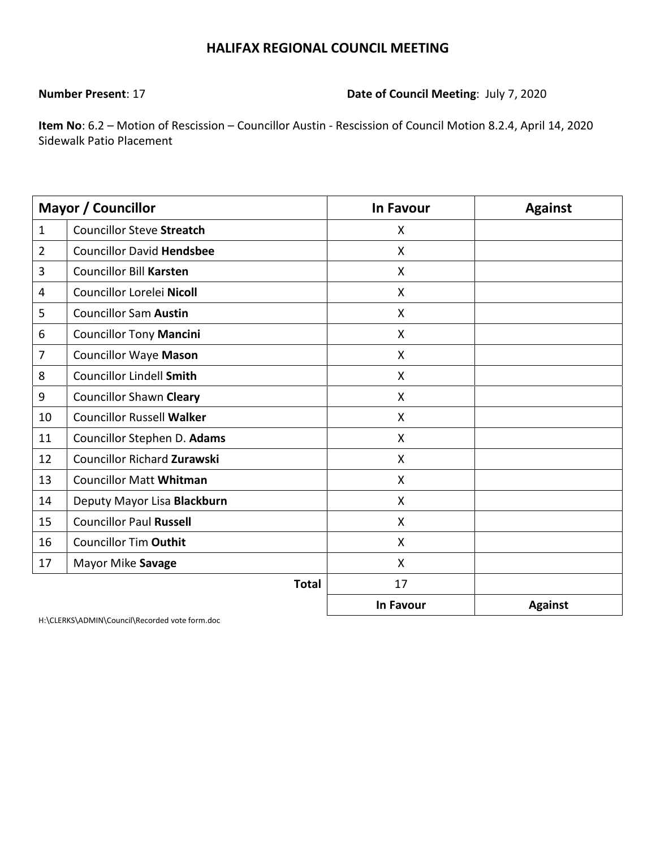### **Number Present**: 17 **Date of Council Meeting**: July 7, 2020

**Item No**: 6.2 – Motion of Rescission – Councillor Austin - Rescission of Council Motion 8.2.4, April 14, 2020 Sidewalk Patio Placement

|                | <b>Mayor / Councillor</b>        | <b>In Favour</b>          | <b>Against</b> |
|----------------|----------------------------------|---------------------------|----------------|
| $\mathbf{1}$   | <b>Councillor Steve Streatch</b> | X                         |                |
| $\overline{2}$ | <b>Councillor David Hendsbee</b> | $\boldsymbol{\mathsf{X}}$ |                |
| 3              | <b>Councillor Bill Karsten</b>   | X                         |                |
| 4              | Councillor Lorelei Nicoll        | $\boldsymbol{\mathsf{X}}$ |                |
| 5              | <b>Councillor Sam Austin</b>     | $\boldsymbol{\mathsf{X}}$ |                |
| 6              | <b>Councillor Tony Mancini</b>   | $\boldsymbol{\mathsf{X}}$ |                |
| 7              | <b>Councillor Waye Mason</b>     | $\mathsf{X}$              |                |
| 8              | <b>Councillor Lindell Smith</b>  | $\boldsymbol{\mathsf{X}}$ |                |
| 9              | <b>Councillor Shawn Cleary</b>   | X                         |                |
| 10             | <b>Councillor Russell Walker</b> | X                         |                |
| 11             | Councillor Stephen D. Adams      | X                         |                |
| 12             | Councillor Richard Zurawski      | $\boldsymbol{\mathsf{X}}$ |                |
| 13             | <b>Councillor Matt Whitman</b>   | X                         |                |
| 14             | Deputy Mayor Lisa Blackburn      | X                         |                |
| 15             | <b>Councillor Paul Russell</b>   | X                         |                |
| 16             | <b>Councillor Tim Outhit</b>     | X                         |                |
| 17             | Mayor Mike Savage                | $\boldsymbol{\mathsf{X}}$ |                |
|                | <b>Total</b>                     | 17                        |                |
|                |                                  | <b>In Favour</b>          | <b>Against</b> |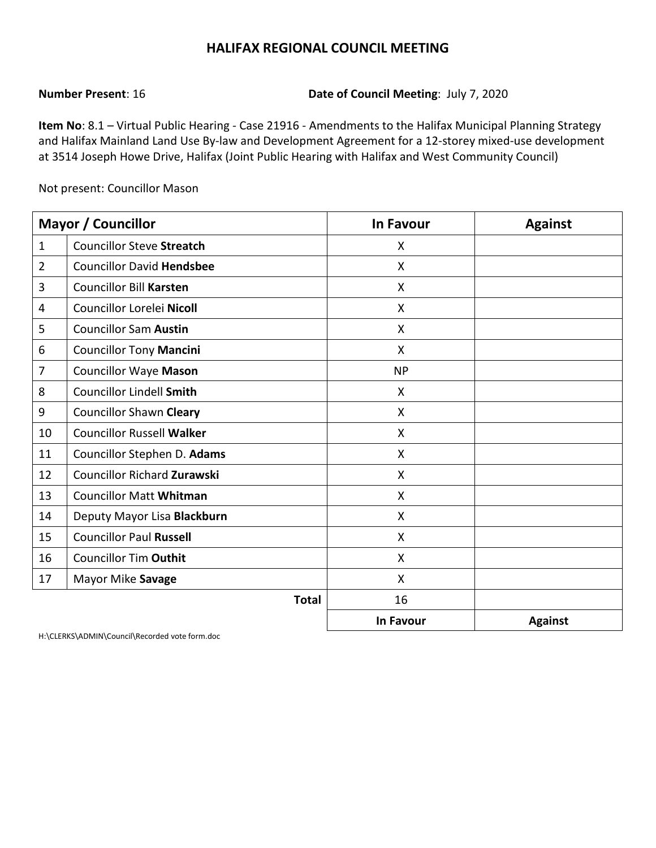**Number Present**: 16 **Date of Council Meeting**: July 7, 2020

**Item No**: 8.1 – Virtual Public Hearing - Case 21916 - Amendments to the Halifax Municipal Planning Strategy and Halifax Mainland Land Use By-law and Development Agreement for a 12-storey mixed-use development at 3514 Joseph Howe Drive, Halifax (Joint Public Hearing with Halifax and West Community Council)

Not present: Councillor Mason

|                | <b>Mayor / Councillor</b>          | <b>In Favour</b> | <b>Against</b> |
|----------------|------------------------------------|------------------|----------------|
| $\mathbf{1}$   | <b>Councillor Steve Streatch</b>   | X                |                |
| $\overline{2}$ | <b>Councillor David Hendsbee</b>   | X                |                |
| 3              | <b>Councillor Bill Karsten</b>     | X                |                |
| 4              | Councillor Lorelei Nicoll          | X                |                |
| 5              | <b>Councillor Sam Austin</b>       | $\mathsf{X}$     |                |
| 6              | <b>Councillor Tony Mancini</b>     | X                |                |
| 7              | <b>Councillor Waye Mason</b>       | <b>NP</b>        |                |
| 8              | <b>Councillor Lindell Smith</b>    | X                |                |
| 9              | <b>Councillor Shawn Cleary</b>     | X                |                |
| 10             | <b>Councillor Russell Walker</b>   | X                |                |
| 11             | Councillor Stephen D. Adams        | X                |                |
| 12             | <b>Councillor Richard Zurawski</b> | X                |                |
| 13             | <b>Councillor Matt Whitman</b>     | X                |                |
| 14             | Deputy Mayor Lisa Blackburn        | X                |                |
| 15             | <b>Councillor Paul Russell</b>     | $\mathsf{x}$     |                |
| 16             | <b>Councillor Tim Outhit</b>       | X                |                |
| 17             | Mayor Mike Savage                  | X                |                |
|                | <b>Total</b>                       | 16               |                |
|                |                                    | In Favour        | <b>Against</b> |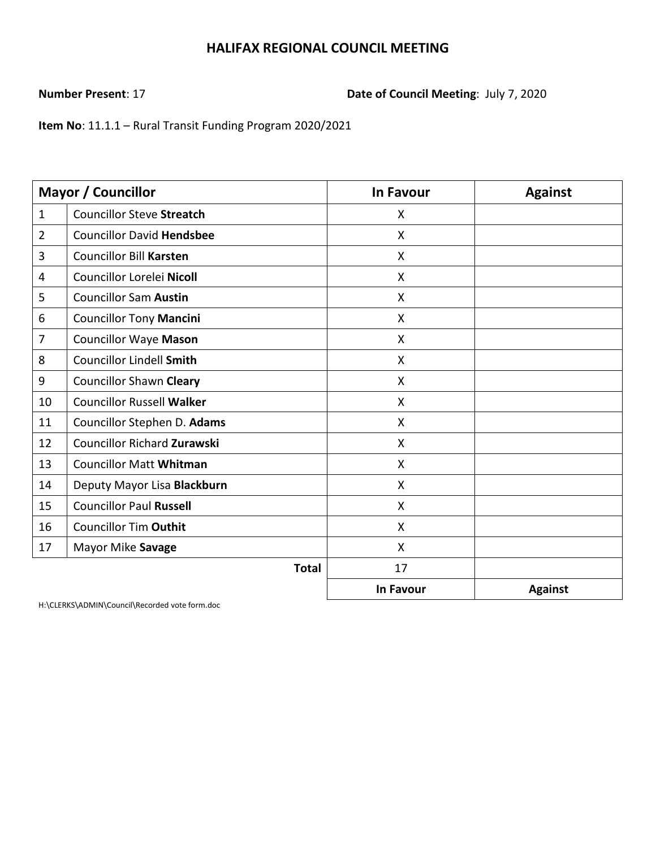**Number Present**: 17 **Date of Council Meeting**: July 7, 2020

**Item No**: 11.1.1 – Rural Transit Funding Program 2020/2021

|                | <b>Mayor / Councillor</b>          | <b>In Favour</b>          | <b>Against</b> |
|----------------|------------------------------------|---------------------------|----------------|
| $\mathbf{1}$   | <b>Councillor Steve Streatch</b>   | X                         |                |
| $\overline{2}$ | <b>Councillor David Hendsbee</b>   | $\boldsymbol{\mathsf{X}}$ |                |
| 3              | <b>Councillor Bill Karsten</b>     | X                         |                |
| 4              | Councillor Lorelei Nicoll          | X                         |                |
| 5              | <b>Councillor Sam Austin</b>       | X                         |                |
| 6              | <b>Councillor Tony Mancini</b>     | $\boldsymbol{\mathsf{X}}$ |                |
| 7              | <b>Councillor Waye Mason</b>       | $\boldsymbol{\mathsf{X}}$ |                |
| 8              | Councillor Lindell Smith           | X                         |                |
| 9              | <b>Councillor Shawn Cleary</b>     | X                         |                |
| 10             | <b>Councillor Russell Walker</b>   | X                         |                |
| 11             | Councillor Stephen D. Adams        | X                         |                |
| 12             | <b>Councillor Richard Zurawski</b> | X                         |                |
| 13             | <b>Councillor Matt Whitman</b>     | $\boldsymbol{\mathsf{X}}$ |                |
| 14             | Deputy Mayor Lisa Blackburn        | X                         |                |
| 15             | <b>Councillor Paul Russell</b>     | $\mathsf{X}$              |                |
| 16             | <b>Councillor Tim Outhit</b>       | X                         |                |
| 17             | Mayor Mike Savage                  | $\boldsymbol{\mathsf{X}}$ |                |
|                | <b>Total</b>                       | 17                        |                |
|                |                                    | In Favour                 | <b>Against</b> |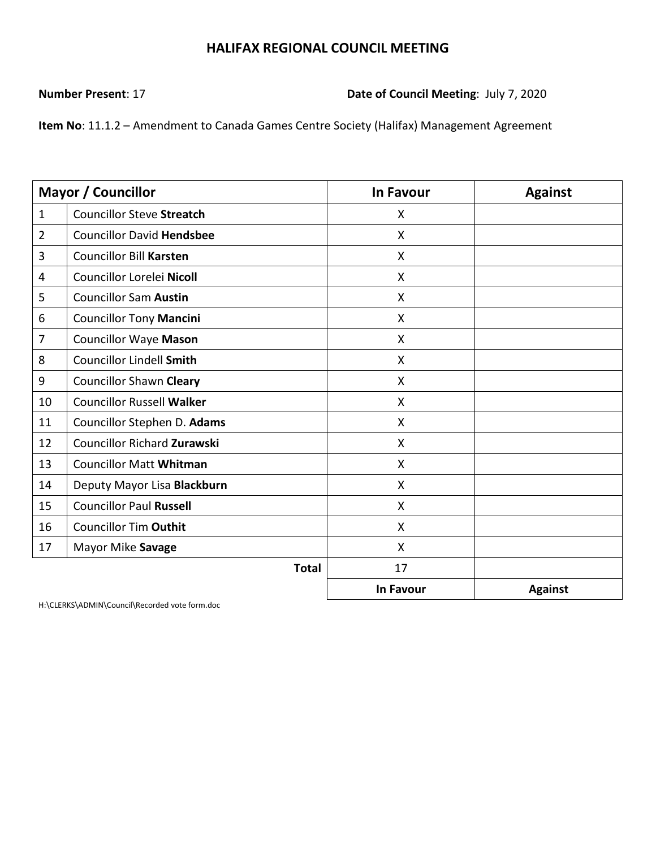**Number Present**: 17 **Date of Council Meeting**: July 7, 2020

**Item No**: 11.1.2 – Amendment to Canada Games Centre Society (Halifax) Management Agreement

|                | <b>Mayor / Councillor</b>          | <b>In Favour</b>          | <b>Against</b> |
|----------------|------------------------------------|---------------------------|----------------|
| $\mathbf{1}$   | <b>Councillor Steve Streatch</b>   | X                         |                |
| $\overline{2}$ | <b>Councillor David Hendsbee</b>   | X                         |                |
| 3              | <b>Councillor Bill Karsten</b>     | X                         |                |
| 4              | Councillor Lorelei Nicoll          | X                         |                |
| 5              | <b>Councillor Sam Austin</b>       | X                         |                |
| 6              | <b>Councillor Tony Mancini</b>     | X                         |                |
| $\overline{7}$ | <b>Councillor Waye Mason</b>       | $\boldsymbol{\mathsf{X}}$ |                |
| 8              | <b>Councillor Lindell Smith</b>    | $\mathsf{X}$              |                |
| 9              | <b>Councillor Shawn Cleary</b>     | $\boldsymbol{\mathsf{X}}$ |                |
| 10             | <b>Councillor Russell Walker</b>   | X                         |                |
| 11             | Councillor Stephen D. Adams        | X                         |                |
| 12             | <b>Councillor Richard Zurawski</b> | X                         |                |
| 13             | <b>Councillor Matt Whitman</b>     | X                         |                |
| 14             | Deputy Mayor Lisa Blackburn        | X                         |                |
| 15             | <b>Councillor Paul Russell</b>     | X                         |                |
| 16             | <b>Councillor Tim Outhit</b>       | X                         |                |
| 17             | Mayor Mike Savage                  | X                         |                |
|                | <b>Total</b>                       | 17                        |                |
|                |                                    | <b>In Favour</b>          | <b>Against</b> |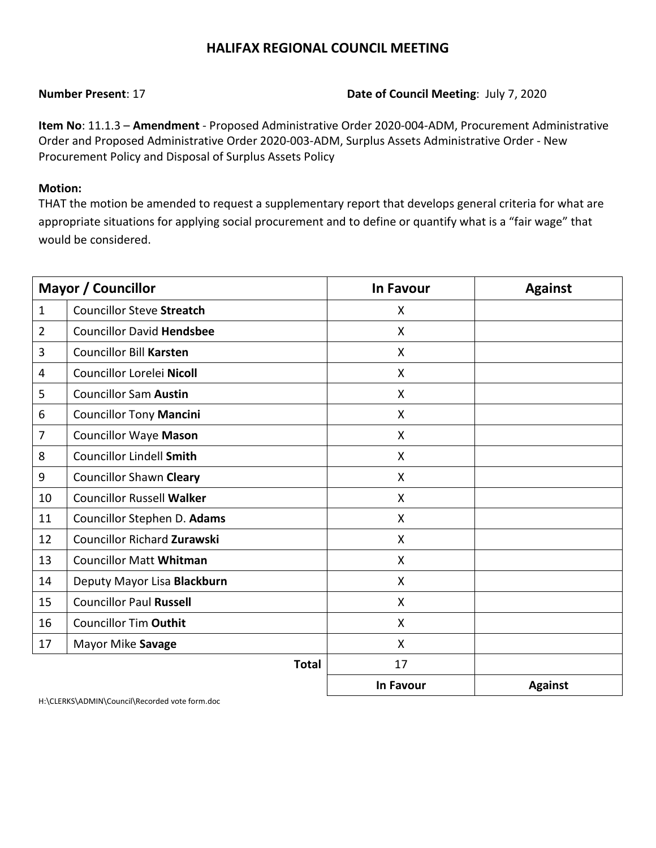### **Number Present**: 17 **Date of Council Meeting**: July 7, 2020

**Item No**: 11.1.3 – **Amendment** - Proposed Administrative Order 2020-004-ADM, Procurement Administrative Order and Proposed Administrative Order 2020-003-ADM, Surplus Assets Administrative Order - New Procurement Policy and Disposal of Surplus Assets Policy

### **Motion:**

THAT the motion be amended to request a supplementary report that develops general criteria for what are appropriate situations for applying social procurement and to define or quantify what is a "fair wage" that would be considered.

|                | <b>Mayor / Councillor</b>        | <b>In Favour</b> | <b>Against</b> |
|----------------|----------------------------------|------------------|----------------|
| $\mathbf{1}$   | <b>Councillor Steve Streatch</b> | X                |                |
| $\overline{2}$ | <b>Councillor David Hendsbee</b> | X                |                |
| 3              | <b>Councillor Bill Karsten</b>   | X                |                |
| $\overline{4}$ | Councillor Lorelei Nicoll        | X                |                |
| 5              | <b>Councillor Sam Austin</b>     | X                |                |
| 6              | <b>Councillor Tony Mancini</b>   | X                |                |
| $\overline{7}$ | <b>Councillor Waye Mason</b>     | X                |                |
| 8              | <b>Councillor Lindell Smith</b>  | X                |                |
| 9              | <b>Councillor Shawn Cleary</b>   | X                |                |
| 10             | <b>Councillor Russell Walker</b> | X                |                |
| 11             | Councillor Stephen D. Adams      | X                |                |
| 12             | Councillor Richard Zurawski      | X                |                |
| 13             | <b>Councillor Matt Whitman</b>   | X                |                |
| 14             | Deputy Mayor Lisa Blackburn      | X                |                |
| 15             | <b>Councillor Paul Russell</b>   | X                |                |
| 16             | <b>Councillor Tim Outhit</b>     | X                |                |
| 17             | Mayor Mike Savage                | X                |                |
|                | <b>Total</b>                     | 17               |                |
|                |                                  | In Favour        | <b>Against</b> |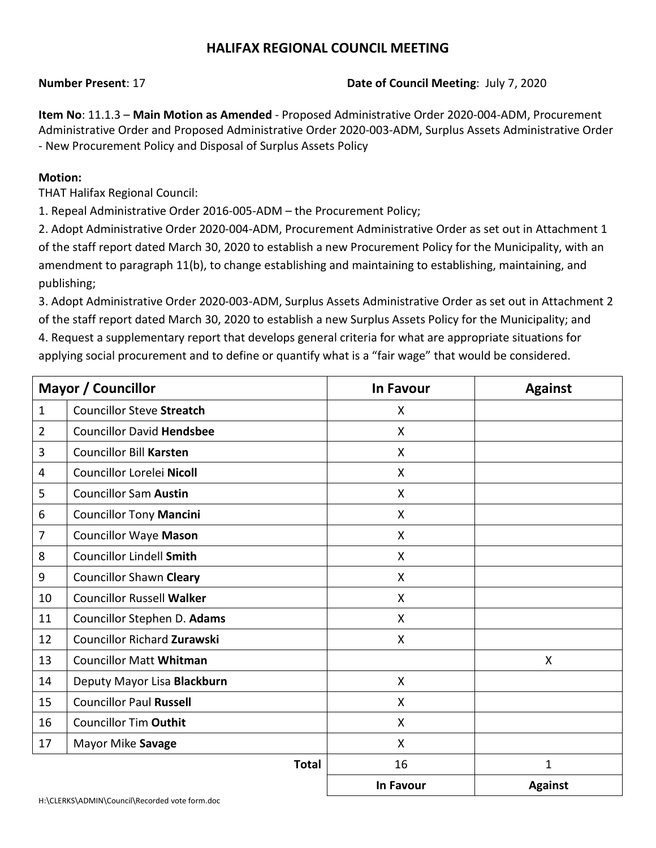### **Number Present**: 17 **Date of Council Meeting**: July 7, 2020

**Item No**: 11.1.3 – **Main Motion as Amended** - Proposed Administrative Order 2020-004-ADM, Procurement Administrative Order and Proposed Administrative Order 2020-003-ADM, Surplus Assets Administrative Order - New Procurement Policy and Disposal of Surplus Assets Policy

### **Motion:**

THAT Halifax Regional Council:

1. Repeal Administrative Order 2016-005-ADM – the Procurement Policy;

2. Adopt Administrative Order 2020-004-ADM, Procurement Administrative Order as set out in Attachment 1 of the staff report dated March 30, 2020 to establish a new Procurement Policy for the Municipality, with an amendment to paragraph 11(b), to change establishing and maintaining to establishing, maintaining, and publishing;

3. Adopt Administrative Order 2020-003-ADM, Surplus Assets Administrative Order as set out in Attachment 2 of the staff report dated March 30, 2020 to establish a new Surplus Assets Policy for the Municipality; and 4. Request a supplementary report that develops general criteria for what are appropriate situations for applying social procurement and to define or quantify what is a "fair wage" that would be considered.

|                | Mayor / Councillor                 | <b>In Favour</b> | <b>Against</b> |
|----------------|------------------------------------|------------------|----------------|
| $\mathbf{1}$   | <b>Councillor Steve Streatch</b>   | X                |                |
| $\overline{2}$ | <b>Councillor David Hendsbee</b>   | X                |                |
| 3              | <b>Councillor Bill Karsten</b>     | X                |                |
| 4              | Councillor Lorelei Nicoll          | X                |                |
| 5              | <b>Councillor Sam Austin</b>       | $\sf X$          |                |
| 6              | <b>Councillor Tony Mancini</b>     | X                |                |
| $\overline{7}$ | <b>Councillor Waye Mason</b>       | X                |                |
| 8              | <b>Councillor Lindell Smith</b>    | X                |                |
| 9              | <b>Councillor Shawn Cleary</b>     | X                |                |
| 10             | <b>Councillor Russell Walker</b>   | X                |                |
| 11             | Councillor Stephen D. Adams        | X                |                |
| 12             | <b>Councillor Richard Zurawski</b> | X                |                |
| 13             | <b>Councillor Matt Whitman</b>     |                  | X              |
| 14             | Deputy Mayor Lisa Blackburn        | X                |                |
| 15             | <b>Councillor Paul Russell</b>     | X                |                |
| 16             | <b>Councillor Tim Outhit</b>       | X                |                |
| 17             | Mayor Mike Savage                  | X                |                |
|                | <b>Total</b>                       | 16               | 1              |
|                |                                    | <b>In Favour</b> | <b>Against</b> |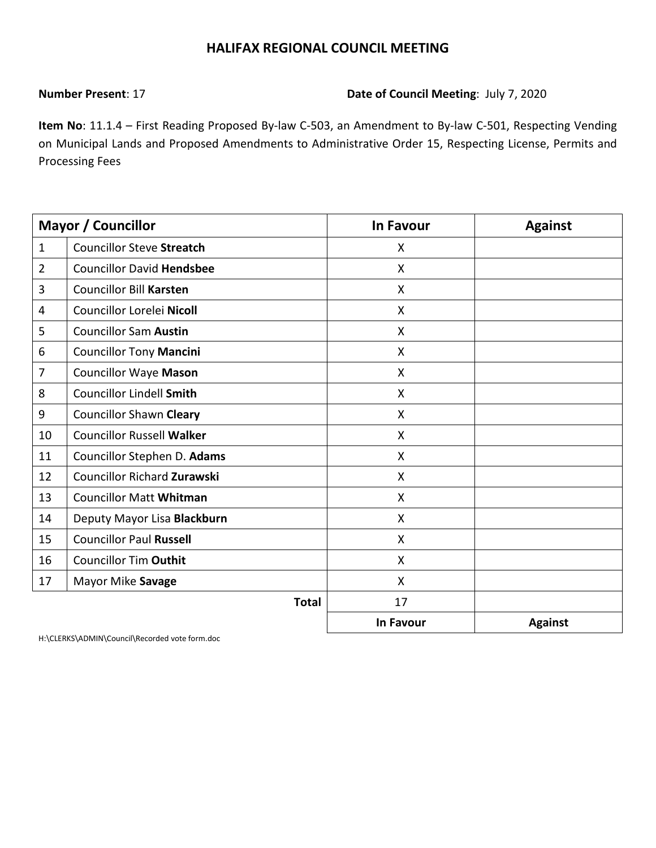### **Number Present**: 17 **Date of Council Meeting**: July 7, 2020

**Item No**: 11.1.4 – First Reading Proposed By-law C-503, an Amendment to By-law C-501, Respecting Vending on Municipal Lands and Proposed Amendments to Administrative Order 15, Respecting License, Permits and Processing Fees

|                | <b>Mayor / Councillor</b>          | <b>In Favour</b>          | <b>Against</b> |
|----------------|------------------------------------|---------------------------|----------------|
| $\mathbf{1}$   | <b>Councillor Steve Streatch</b>   | X                         |                |
| $\overline{2}$ | <b>Councillor David Hendsbee</b>   | X                         |                |
| 3              | <b>Councillor Bill Karsten</b>     | X                         |                |
| 4              | Councillor Lorelei Nicoll          | X                         |                |
| 5              | <b>Councillor Sam Austin</b>       | $\boldsymbol{\mathsf{X}}$ |                |
| 6              | <b>Councillor Tony Mancini</b>     | X                         |                |
| 7              | <b>Councillor Waye Mason</b>       | X                         |                |
| 8              | <b>Councillor Lindell Smith</b>    | $\mathsf{X}$              |                |
| 9              | <b>Councillor Shawn Cleary</b>     | X                         |                |
| 10             | <b>Councillor Russell Walker</b>   | X                         |                |
| 11             | Councillor Stephen D. Adams        | X                         |                |
| 12             | <b>Councillor Richard Zurawski</b> | $\boldsymbol{\mathsf{X}}$ |                |
| 13             | <b>Councillor Matt Whitman</b>     | X                         |                |
| 14             | Deputy Mayor Lisa Blackburn        | X                         |                |
| 15             | <b>Councillor Paul Russell</b>     | $\mathsf{X}$              |                |
| 16             | <b>Councillor Tim Outhit</b>       | X                         |                |
| 17             | Mayor Mike Savage                  | X                         |                |
|                | <b>Total</b>                       | 17                        |                |
|                |                                    | <b>In Favour</b>          | <b>Against</b> |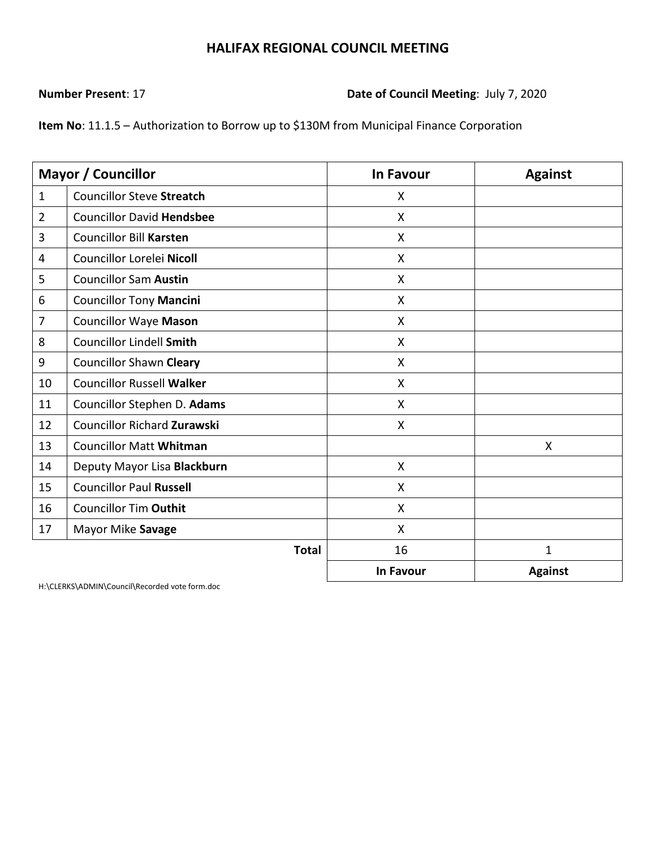### **Number Present**: 17 **Date of Council Meeting**: July 7, 2020

**Item No**: 11.1.5 – Authorization to Borrow up to \$130M from Municipal Finance Corporation

|                | <b>Mayor / Councillor</b>          | <b>In Favour</b>          | <b>Against</b> |
|----------------|------------------------------------|---------------------------|----------------|
| $\mathbf{1}$   | <b>Councillor Steve Streatch</b>   | X                         |                |
| $\overline{2}$ | <b>Councillor David Hendsbee</b>   | X                         |                |
| 3              | <b>Councillor Bill Karsten</b>     | $\boldsymbol{\mathsf{X}}$ |                |
| 4              | Councillor Lorelei Nicoll          | X                         |                |
| 5              | <b>Councillor Sam Austin</b>       | X                         |                |
| 6              | <b>Councillor Tony Mancini</b>     | $\boldsymbol{\mathsf{X}}$ |                |
| 7              | <b>Councillor Waye Mason</b>       | $\mathsf{X}$              |                |
| 8              | <b>Councillor Lindell Smith</b>    | $\boldsymbol{\mathsf{X}}$ |                |
| 9              | <b>Councillor Shawn Cleary</b>     | X                         |                |
| 10             | <b>Councillor Russell Walker</b>   | X                         |                |
| 11             | Councillor Stephen D. Adams        | X                         |                |
| 12             | <b>Councillor Richard Zurawski</b> | $\boldsymbol{\mathsf{X}}$ |                |
| 13             | <b>Councillor Matt Whitman</b>     |                           | X              |
| 14             | Deputy Mayor Lisa Blackburn        | $\boldsymbol{\mathsf{X}}$ |                |
| 15             | <b>Councillor Paul Russell</b>     | X                         |                |
| 16             | <b>Councillor Tim Outhit</b>       | X                         |                |
| 17             | Mayor Mike Savage                  | X                         |                |
|                | <b>Total</b>                       | 16                        | $\mathbf{1}$   |
|                |                                    | <b>In Favour</b>          | <b>Against</b> |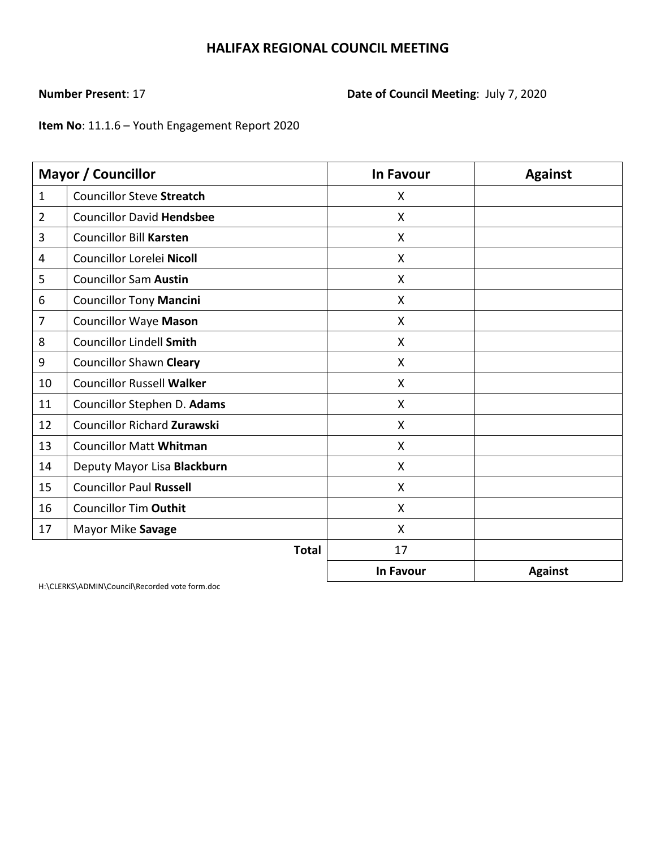# **Number Present**: 17 **Date of Council Meeting**: July 7, 2020

**Item No**: 11.1.6 – Youth Engagement Report 2020

|                | <b>Mayor / Councillor</b>        | <b>In Favour</b>          | <b>Against</b> |
|----------------|----------------------------------|---------------------------|----------------|
| $\mathbf{1}$   | <b>Councillor Steve Streatch</b> | X                         |                |
| $\overline{2}$ | <b>Councillor David Hendsbee</b> | X                         |                |
| 3              | <b>Councillor Bill Karsten</b>   | X                         |                |
| 4              | Councillor Lorelei Nicoll        | X                         |                |
| 5              | <b>Councillor Sam Austin</b>     | $\boldsymbol{\mathsf{X}}$ |                |
| 6              | <b>Councillor Tony Mancini</b>   | X                         |                |
| 7              | <b>Councillor Waye Mason</b>     | X                         |                |
| 8              | <b>Councillor Lindell Smith</b>  | $\boldsymbol{\mathsf{X}}$ |                |
| 9              | <b>Councillor Shawn Cleary</b>   | X                         |                |
| 10             | <b>Councillor Russell Walker</b> | X                         |                |
| 11             | Councillor Stephen D. Adams      | $\boldsymbol{\mathsf{X}}$ |                |
| 12             | Councillor Richard Zurawski      | X                         |                |
| 13             | <b>Councillor Matt Whitman</b>   | $\mathsf{X}$              |                |
| 14             | Deputy Mayor Lisa Blackburn      | $\boldsymbol{\mathsf{X}}$ |                |
| 15             | <b>Councillor Paul Russell</b>   | X                         |                |
| 16             | <b>Councillor Tim Outhit</b>     | $\pmb{\times}$            |                |
| 17             | Mayor Mike Savage                | X                         |                |
|                | <b>Total</b>                     | 17                        |                |
|                |                                  | <b>In Favour</b>          | <b>Against</b> |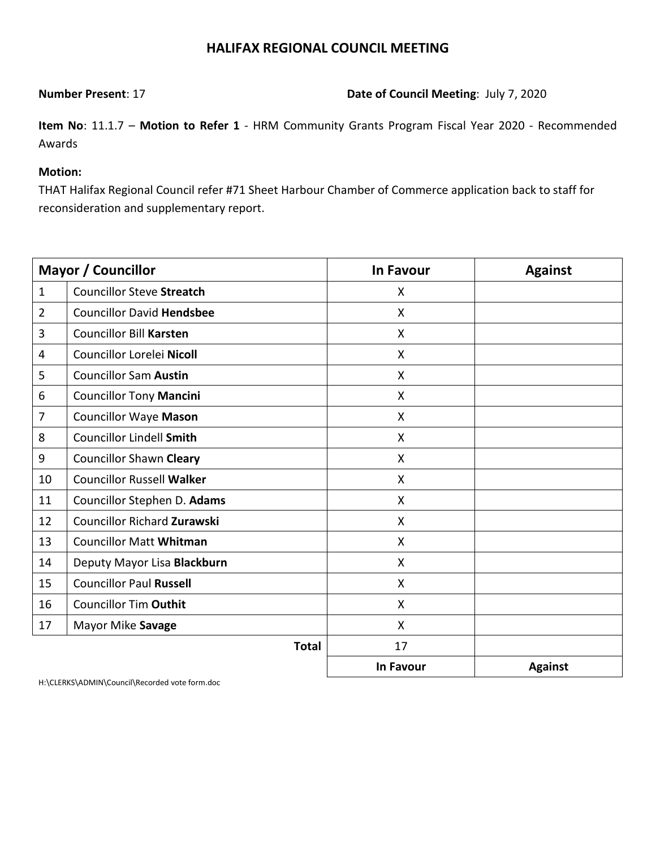**Number Present**: 17 **Date of Council Meeting**: July 7, 2020

**Item No**: 11.1.7 – **Motion to Refer 1** - HRM Community Grants Program Fiscal Year 2020 - Recommended Awards

### **Motion:**

THAT Halifax Regional Council refer #71 Sheet Harbour Chamber of Commerce application back to staff for reconsideration and supplementary report.

|                | <b>Mayor / Councillor</b>          | <b>In Favour</b> | <b>Against</b> |
|----------------|------------------------------------|------------------|----------------|
| $\mathbf{1}$   | <b>Councillor Steve Streatch</b>   | X                |                |
| $\overline{2}$ | <b>Councillor David Hendsbee</b>   | $\mathsf{X}$     |                |
| 3              | <b>Councillor Bill Karsten</b>     | X                |                |
| 4              | Councillor Lorelei Nicoll          | X                |                |
| 5              | <b>Councillor Sam Austin</b>       | $\mathsf{X}$     |                |
| 6              | <b>Councillor Tony Mancini</b>     | X                |                |
| 7              | <b>Councillor Waye Mason</b>       | X                |                |
| 8              | <b>Councillor Lindell Smith</b>    | X                |                |
| 9              | <b>Councillor Shawn Cleary</b>     | X                |                |
| 10             | <b>Councillor Russell Walker</b>   | X                |                |
| 11             | Councillor Stephen D. Adams        | $\mathsf{X}$     |                |
| 12             | <b>Councillor Richard Zurawski</b> | $\mathsf{X}$     |                |
| 13             | <b>Councillor Matt Whitman</b>     | $\mathsf{X}$     |                |
| 14             | Deputy Mayor Lisa Blackburn        | X                |                |
| 15             | <b>Councillor Paul Russell</b>     | $\mathsf{X}$     |                |
| 16             | <b>Councillor Tim Outhit</b>       | X                |                |
| 17             | Mayor Mike Savage                  | $\mathsf{X}$     |                |
|                | <b>Total</b>                       | 17               |                |
|                |                                    | <b>In Favour</b> | <b>Against</b> |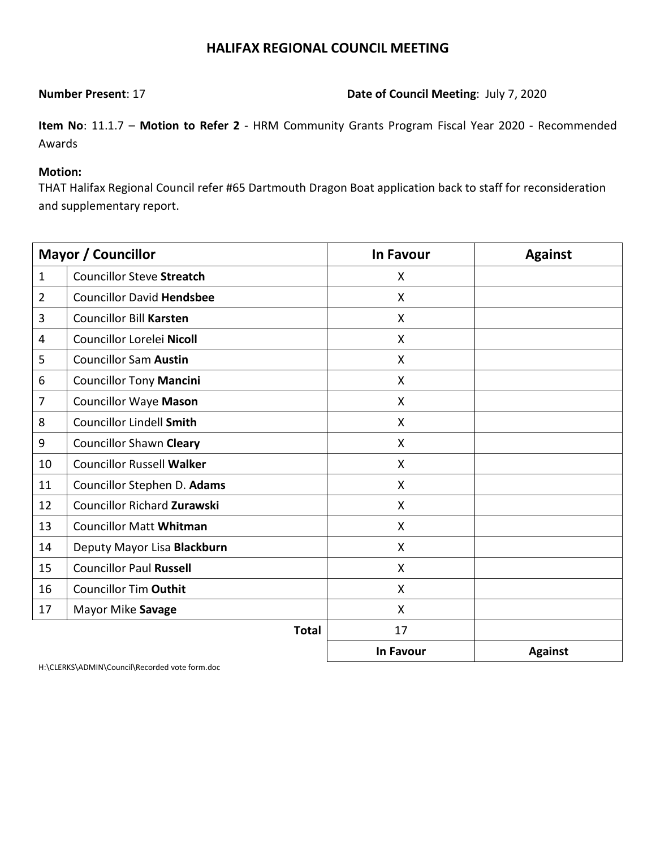**Number Present**: 17 **Date of Council Meeting**: July 7, 2020

**Item No**: 11.1.7 – **Motion to Refer 2** - HRM Community Grants Program Fiscal Year 2020 - Recommended Awards

### **Motion:**

THAT Halifax Regional Council refer #65 Dartmouth Dragon Boat application back to staff for reconsideration and supplementary report.

|                | Mayor / Councillor                 | <b>In Favour</b> | <b>Against</b> |
|----------------|------------------------------------|------------------|----------------|
| $\mathbf{1}$   | <b>Councillor Steve Streatch</b>   | X                |                |
| $\overline{2}$ | <b>Councillor David Hendsbee</b>   | X                |                |
| 3              | <b>Councillor Bill Karsten</b>     | X                |                |
| 4              | Councillor Lorelei Nicoll          | X                |                |
| 5              | <b>Councillor Sam Austin</b>       | X                |                |
| 6              | <b>Councillor Tony Mancini</b>     | X                |                |
| 7              | <b>Councillor Waye Mason</b>       | X                |                |
| 8              | <b>Councillor Lindell Smith</b>    | X                |                |
| 9              | <b>Councillor Shawn Cleary</b>     | X                |                |
| 10             | <b>Councillor Russell Walker</b>   | X                |                |
| 11             | Councillor Stephen D. Adams        | X                |                |
| 12             | <b>Councillor Richard Zurawski</b> | X                |                |
| 13             | <b>Councillor Matt Whitman</b>     | X                |                |
| 14             | Deputy Mayor Lisa Blackburn        | X                |                |
| 15             | <b>Councillor Paul Russell</b>     | X                |                |
| 16             | <b>Councillor Tim Outhit</b>       | X                |                |
| 17             | Mayor Mike Savage                  | X                |                |
|                | <b>Total</b>                       | 17               |                |
|                |                                    | In Favour        | <b>Against</b> |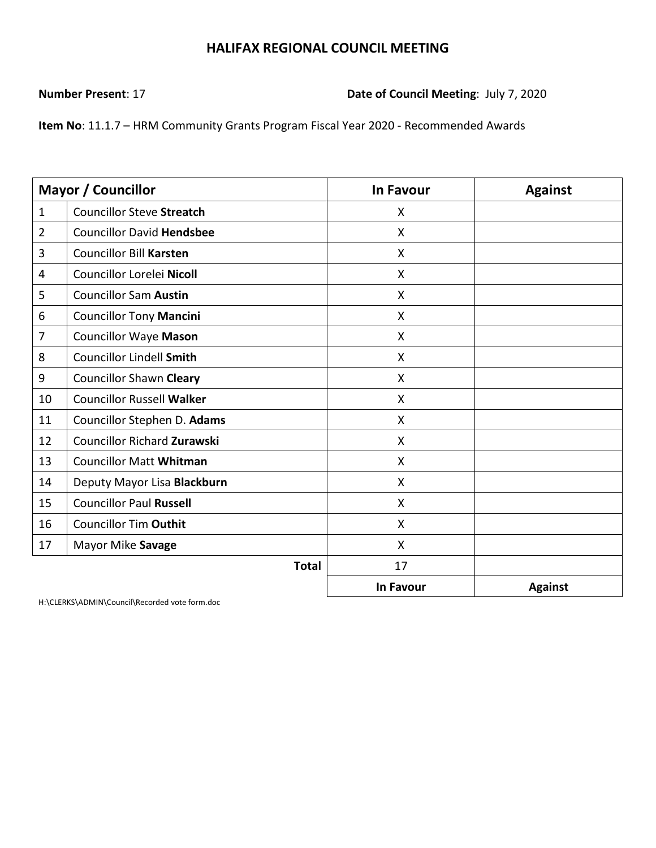**Number Present**: 17 **Date of Council Meeting**: July 7, 2020

**Item No**: 11.1.7 – HRM Community Grants Program Fiscal Year 2020 - Recommended Awards

|                | Mayor / Councillor                 | In Favour                 | <b>Against</b> |
|----------------|------------------------------------|---------------------------|----------------|
| $\mathbf{1}$   | <b>Councillor Steve Streatch</b>   | X                         |                |
| $\overline{2}$ | <b>Councillor David Hendsbee</b>   | X                         |                |
| 3              | <b>Councillor Bill Karsten</b>     | $\boldsymbol{\mathsf{X}}$ |                |
| 4              | Councillor Lorelei Nicoll          | X                         |                |
| 5              | <b>Councillor Sam Austin</b>       | X                         |                |
| 6              | <b>Councillor Tony Mancini</b>     | $\boldsymbol{\mathsf{X}}$ |                |
| 7              | <b>Councillor Waye Mason</b>       | X                         |                |
| 8              | <b>Councillor Lindell Smith</b>    | X                         |                |
| 9              | <b>Councillor Shawn Cleary</b>     | $\boldsymbol{\mathsf{X}}$ |                |
| 10             | <b>Councillor Russell Walker</b>   | X                         |                |
| 11             | Councillor Stephen D. Adams        | X                         |                |
| 12             | <b>Councillor Richard Zurawski</b> | X                         |                |
| 13             | <b>Councillor Matt Whitman</b>     | X                         |                |
| 14             | Deputy Mayor Lisa Blackburn        | $\mathsf{X}$              |                |
| 15             | <b>Councillor Paul Russell</b>     | X                         |                |
| 16             | <b>Councillor Tim Outhit</b>       | $\mathsf{X}$              |                |
| 17             | Mayor Mike Savage                  | X                         |                |
|                | <b>Total</b>                       | 17                        |                |
|                |                                    | <b>In Favour</b>          | <b>Against</b> |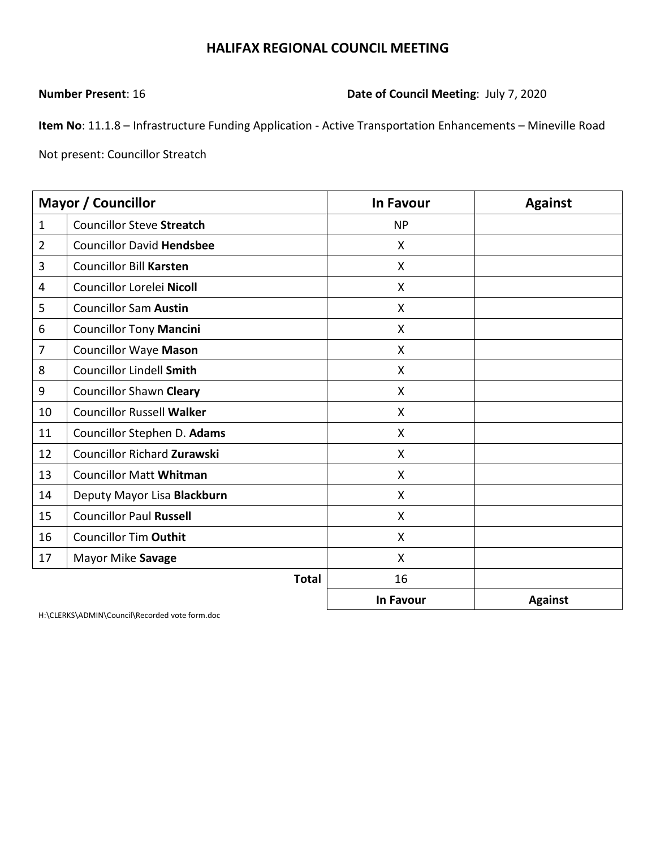**Number Present**: 16 **Date of Council Meeting**: July 7, 2020

**Item No**: 11.1.8 – Infrastructure Funding Application - Active Transportation Enhancements – Mineville Road

Not present: Councillor Streatch

|                | <b>Mayor / Councillor</b>          | <b>In Favour</b>          | <b>Against</b> |
|----------------|------------------------------------|---------------------------|----------------|
| $\mathbf{1}$   | <b>Councillor Steve Streatch</b>   | <b>NP</b>                 |                |
| $\overline{2}$ | <b>Councillor David Hendsbee</b>   | $\boldsymbol{\mathsf{X}}$ |                |
| 3              | <b>Councillor Bill Karsten</b>     | X                         |                |
| 4              | Councillor Lorelei Nicoll          | $\boldsymbol{\mathsf{X}}$ |                |
| 5              | <b>Councillor Sam Austin</b>       | $\boldsymbol{\mathsf{X}}$ |                |
| 6              | <b>Councillor Tony Mancini</b>     | X                         |                |
| $\overline{7}$ | <b>Councillor Waye Mason</b>       | X                         |                |
| 8              | <b>Councillor Lindell Smith</b>    | X                         |                |
| 9              | <b>Councillor Shawn Cleary</b>     | Χ                         |                |
| 10             | <b>Councillor Russell Walker</b>   | X                         |                |
| 11             | Councillor Stephen D. Adams        | X                         |                |
| 12             | <b>Councillor Richard Zurawski</b> | X                         |                |
| 13             | <b>Councillor Matt Whitman</b>     | X                         |                |
| 14             | Deputy Mayor Lisa Blackburn        | $\boldsymbol{\mathsf{X}}$ |                |
| 15             | <b>Councillor Paul Russell</b>     | X                         |                |
| 16             | <b>Councillor Tim Outhit</b>       | X                         |                |
| 17             | Mayor Mike Savage                  | X                         |                |
|                | <b>Total</b>                       | 16                        |                |
|                |                                    | <b>In Favour</b>          | <b>Against</b> |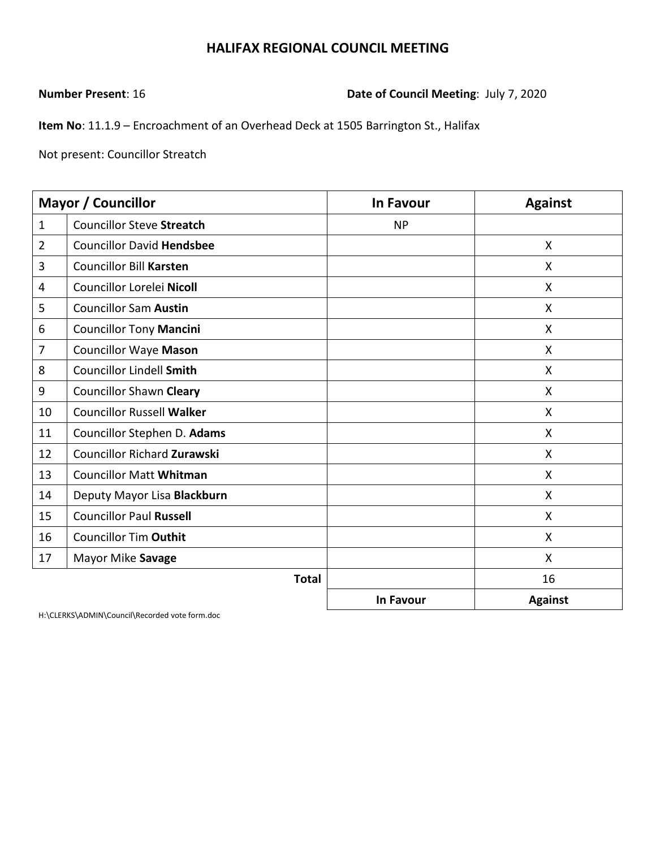**Number Present**: 16 **Date of Council Meeting**: July 7, 2020

**Item No**: 11.1.9 – Encroachment of an Overhead Deck at 1505 Barrington St., Halifax

Not present: Councillor Streatch

|                | <b>Mayor / Councillor</b>          | <b>In Favour</b> | <b>Against</b> |
|----------------|------------------------------------|------------------|----------------|
| $\mathbf{1}$   | <b>Councillor Steve Streatch</b>   | <b>NP</b>        |                |
| $\overline{2}$ | <b>Councillor David Hendsbee</b>   |                  | X              |
| 3              | <b>Councillor Bill Karsten</b>     |                  | X              |
| 4              | Councillor Lorelei Nicoll          |                  | X              |
| 5              | <b>Councillor Sam Austin</b>       |                  | X              |
| 6              | <b>Councillor Tony Mancini</b>     |                  | X              |
| 7              | <b>Councillor Waye Mason</b>       |                  | $\mathsf{X}$   |
| 8              | <b>Councillor Lindell Smith</b>    |                  | X              |
| 9              | <b>Councillor Shawn Cleary</b>     |                  | X              |
| 10             | <b>Councillor Russell Walker</b>   |                  | X              |
| 11             | Councillor Stephen D. Adams        |                  | X              |
| 12             | <b>Councillor Richard Zurawski</b> |                  | X              |
| 13             | <b>Councillor Matt Whitman</b>     |                  | X              |
| 14             | Deputy Mayor Lisa Blackburn        |                  | X              |
| 15             | <b>Councillor Paul Russell</b>     |                  | $\mathsf{X}$   |
| 16             | <b>Councillor Tim Outhit</b>       |                  | X              |
| 17             | Mayor Mike Savage                  |                  | X              |
|                | <b>Total</b>                       |                  | 16             |
|                |                                    | In Favour        | <b>Against</b> |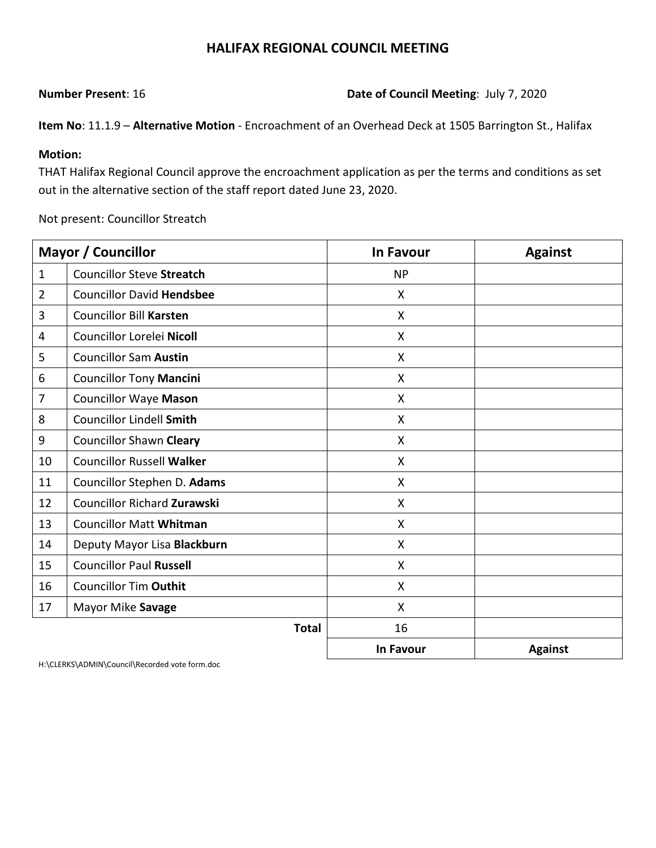**Number Present**: 16 **Date of Council Meeting**: July 7, 2020

**Item No**: 11.1.9 – **Alternative Motion** - Encroachment of an Overhead Deck at 1505 Barrington St., Halifax

### **Motion:**

THAT Halifax Regional Council approve the encroachment application as per the terms and conditions as set out in the alternative section of the staff report dated June 23, 2020.

Not present: Councillor Streatch

|                | <b>Mayor / Councillor</b>          | <b>In Favour</b>          | <b>Against</b> |
|----------------|------------------------------------|---------------------------|----------------|
| $\mathbf{1}$   | <b>Councillor Steve Streatch</b>   | <b>NP</b>                 |                |
| $\overline{2}$ | <b>Councillor David Hendsbee</b>   | X                         |                |
| 3              | <b>Councillor Bill Karsten</b>     | X                         |                |
| 4              | Councillor Lorelei Nicoll          | $\boldsymbol{\mathsf{X}}$ |                |
| 5              | <b>Councillor Sam Austin</b>       | X                         |                |
| 6              | <b>Councillor Tony Mancini</b>     | X                         |                |
| 7              | <b>Councillor Waye Mason</b>       | X                         |                |
| 8              | <b>Councillor Lindell Smith</b>    | $\mathsf{X}$              |                |
| 9              | <b>Councillor Shawn Cleary</b>     | $\boldsymbol{\mathsf{X}}$ |                |
| 10             | <b>Councillor Russell Walker</b>   | X                         |                |
| 11             | Councillor Stephen D. Adams        | $\boldsymbol{\mathsf{X}}$ |                |
| 12             | <b>Councillor Richard Zurawski</b> | $\mathsf{X}$              |                |
| 13             | <b>Councillor Matt Whitman</b>     | $\boldsymbol{\mathsf{X}}$ |                |
| 14             | Deputy Mayor Lisa Blackburn        | $\mathsf{X}$              |                |
| 15             | <b>Councillor Paul Russell</b>     | $\mathsf{X}$              |                |
| 16             | <b>Councillor Tim Outhit</b>       | $\mathsf{X}$              |                |
| 17             | Mayor Mike Savage                  | $\mathsf{X}$              |                |
|                | <b>Total</b>                       | 16                        |                |
|                |                                    | In Favour                 | <b>Against</b> |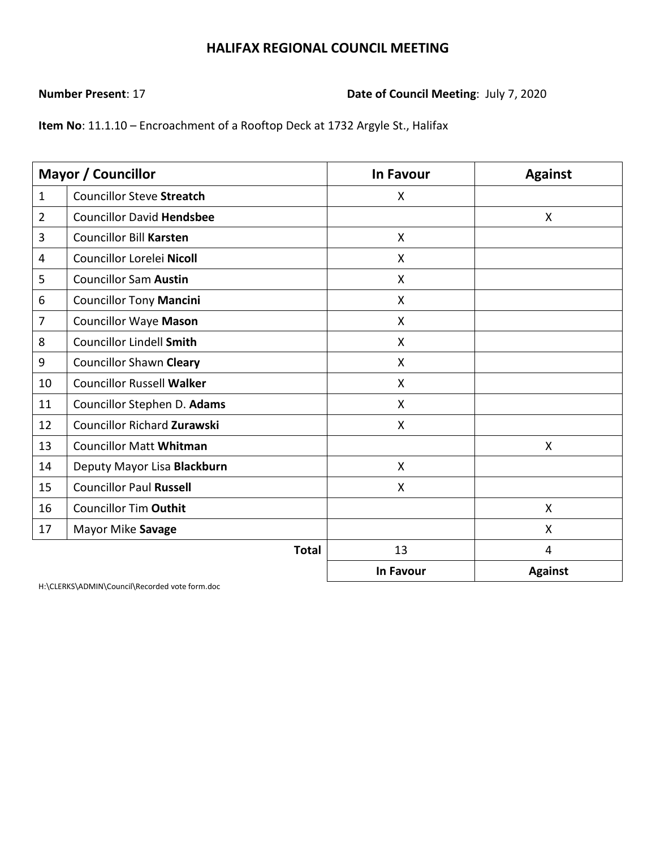### **Number Present**: 17 **Date of Council Meeting**: July 7, 2020

**Item No**: 11.1.10 – Encroachment of a Rooftop Deck at 1732 Argyle St., Halifax

|                | <b>Mayor / Councillor</b>          | <b>In Favour</b>          | <b>Against</b> |
|----------------|------------------------------------|---------------------------|----------------|
| $\mathbf{1}$   | <b>Councillor Steve Streatch</b>   | $\mathsf{X}$              |                |
| $\overline{2}$ | <b>Councillor David Hendsbee</b>   |                           | X              |
| 3              | <b>Councillor Bill Karsten</b>     | $\boldsymbol{\mathsf{X}}$ |                |
| 4              | Councillor Lorelei Nicoll          | X                         |                |
| 5              | <b>Councillor Sam Austin</b>       | X                         |                |
| 6              | <b>Councillor Tony Mancini</b>     | $\boldsymbol{\mathsf{X}}$ |                |
| 7              | <b>Councillor Waye Mason</b>       | $\mathsf{X}$              |                |
| 8              | <b>Councillor Lindell Smith</b>    | X                         |                |
| 9              | <b>Councillor Shawn Cleary</b>     | X                         |                |
| 10             | <b>Councillor Russell Walker</b>   | X                         |                |
| 11             | Councillor Stephen D. Adams        | X                         |                |
| 12             | <b>Councillor Richard Zurawski</b> | X                         |                |
| 13             | <b>Councillor Matt Whitman</b>     |                           | X              |
| 14             | Deputy Mayor Lisa Blackburn        | $\boldsymbol{\mathsf{X}}$ |                |
| 15             | <b>Councillor Paul Russell</b>     | $\mathsf{X}$              |                |
| 16             | <b>Councillor Tim Outhit</b>       |                           | X              |
| 17             | Mayor Mike Savage                  |                           | X              |
|                | <b>Total</b>                       | 13                        | $\overline{4}$ |
|                |                                    | In Favour                 | <b>Against</b> |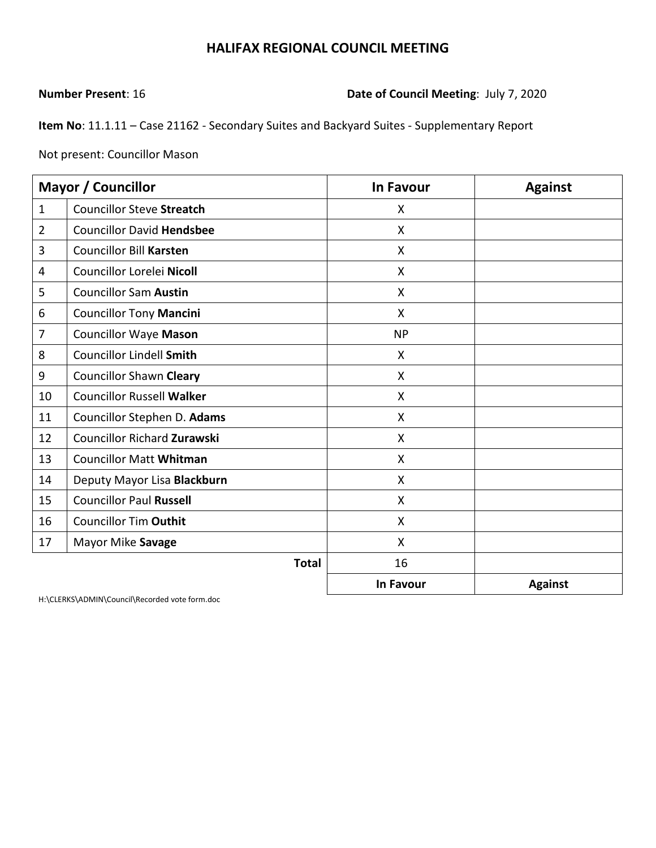## **Number Present**: 16 **Date of Council Meeting**: July 7, 2020

**Item No**: 11.1.11 – Case 21162 - Secondary Suites and Backyard Suites - Supplementary Report

Not present: Councillor Mason

|                | <b>Mayor / Councillor</b>          | In Favour                 | <b>Against</b> |
|----------------|------------------------------------|---------------------------|----------------|
| $\mathbf{1}$   | <b>Councillor Steve Streatch</b>   | X                         |                |
| $\overline{2}$ | <b>Councillor David Hendsbee</b>   | X                         |                |
| 3              | <b>Councillor Bill Karsten</b>     | X                         |                |
| 4              | Councillor Lorelei Nicoll          | X                         |                |
| 5              | <b>Councillor Sam Austin</b>       | X                         |                |
| 6              | <b>Councillor Tony Mancini</b>     | $\boldsymbol{\mathsf{X}}$ |                |
| $\overline{7}$ | <b>Councillor Waye Mason</b>       | <b>NP</b>                 |                |
| 8              | <b>Councillor Lindell Smith</b>    | $\sf X$                   |                |
| 9              | <b>Councillor Shawn Cleary</b>     | X                         |                |
| 10             | <b>Councillor Russell Walker</b>   | X                         |                |
| 11             | Councillor Stephen D. Adams        | X                         |                |
| 12             | <b>Councillor Richard Zurawski</b> | X                         |                |
| 13             | <b>Councillor Matt Whitman</b>     | X                         |                |
| 14             | Deputy Mayor Lisa Blackburn        | X                         |                |
| 15             | <b>Councillor Paul Russell</b>     | X                         |                |
| 16             | <b>Councillor Tim Outhit</b>       | X                         |                |
| 17             | Mayor Mike Savage                  | X                         |                |
|                | <b>Total</b>                       | 16                        |                |
|                |                                    | In Favour                 | <b>Against</b> |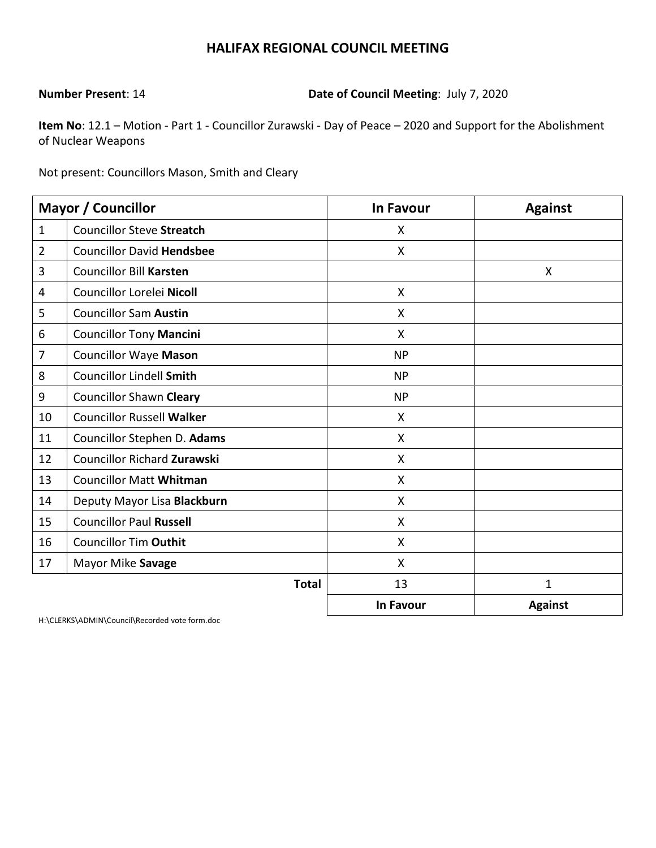**Number Present**: 14 **Date of Council Meeting**: July 7, 2020

**Item No**: 12.1 – Motion - Part 1 - Councillor Zurawski - Day of Peace – 2020 and Support for the Abolishment of Nuclear Weapons

Not present: Councillors Mason, Smith and Cleary

|                | <b>Mayor / Councillor</b>        | <b>In Favour</b>          | <b>Against</b> |
|----------------|----------------------------------|---------------------------|----------------|
| $\mathbf{1}$   | <b>Councillor Steve Streatch</b> | X                         |                |
| $\overline{2}$ | <b>Councillor David Hendsbee</b> | $\boldsymbol{\mathsf{X}}$ |                |
| 3              | <b>Councillor Bill Karsten</b>   |                           | X              |
| 4              | Councillor Lorelei Nicoll        | $\boldsymbol{\mathsf{X}}$ |                |
| 5              | <b>Councillor Sam Austin</b>     | X                         |                |
| 6              | <b>Councillor Tony Mancini</b>   | $\boldsymbol{\mathsf{X}}$ |                |
| $\overline{7}$ | <b>Councillor Waye Mason</b>     | <b>NP</b>                 |                |
| 8              | <b>Councillor Lindell Smith</b>  | <b>NP</b>                 |                |
| 9              | <b>Councillor Shawn Cleary</b>   | <b>NP</b>                 |                |
| 10             | <b>Councillor Russell Walker</b> | X                         |                |
| 11             | Councillor Stephen D. Adams      | $\boldsymbol{\mathsf{X}}$ |                |
| 12             | Councillor Richard Zurawski      | $\boldsymbol{\mathsf{X}}$ |                |
| 13             | <b>Councillor Matt Whitman</b>   | X                         |                |
| 14             | Deputy Mayor Lisa Blackburn      | X                         |                |
| 15             | <b>Councillor Paul Russell</b>   | X                         |                |
| 16             | <b>Councillor Tim Outhit</b>     | X                         |                |
| 17             | Mayor Mike Savage                | X                         |                |
|                | <b>Total</b>                     | 13                        | 1              |
|                |                                  | <b>In Favour</b>          | <b>Against</b> |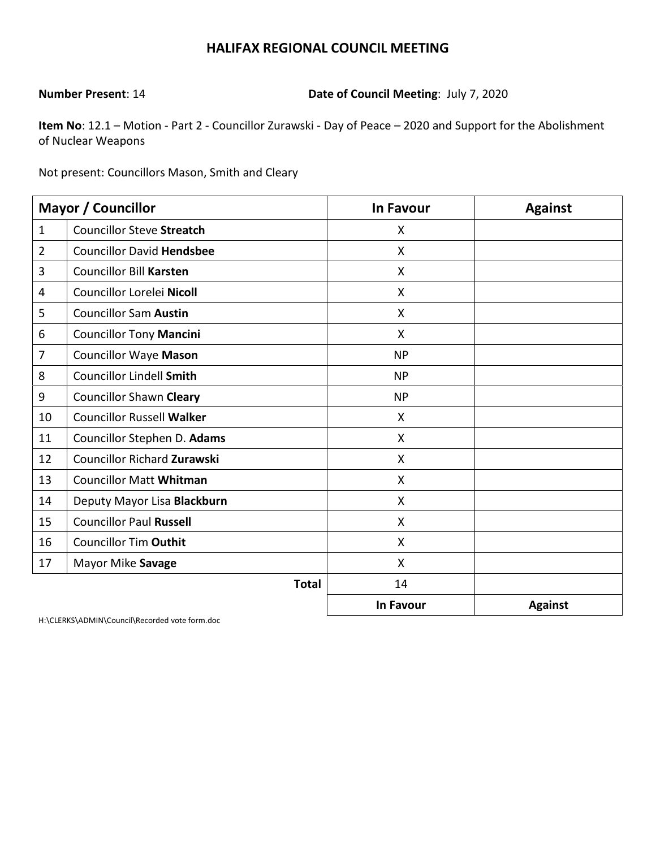**Number Present**: 14 **Date of Council Meeting**: July 7, 2020

**Item No**: 12.1 – Motion - Part 2 - Councillor Zurawski - Day of Peace – 2020 and Support for the Abolishment of Nuclear Weapons

Not present: Councillors Mason, Smith and Cleary

|                | <b>Mayor / Councillor</b>        | <b>In Favour</b>          | <b>Against</b> |
|----------------|----------------------------------|---------------------------|----------------|
| $\mathbf{1}$   | <b>Councillor Steve Streatch</b> | X                         |                |
| $\overline{2}$ | <b>Councillor David Hendsbee</b> | $\boldsymbol{\mathsf{X}}$ |                |
| 3              | <b>Councillor Bill Karsten</b>   | X                         |                |
| 4              | Councillor Lorelei Nicoll        | X                         |                |
| 5              | <b>Councillor Sam Austin</b>     | X                         |                |
| 6              | <b>Councillor Tony Mancini</b>   | $\boldsymbol{\mathsf{X}}$ |                |
| $\overline{7}$ | <b>Councillor Waye Mason</b>     | <b>NP</b>                 |                |
| 8              | <b>Councillor Lindell Smith</b>  | <b>NP</b>                 |                |
| 9              | <b>Councillor Shawn Cleary</b>   | <b>NP</b>                 |                |
| 10             | <b>Councillor Russell Walker</b> | X                         |                |
| 11             | Councillor Stephen D. Adams      | $\mathsf{X}$              |                |
| 12             | Councillor Richard Zurawski      | $\boldsymbol{\mathsf{X}}$ |                |
| 13             | <b>Councillor Matt Whitman</b>   | X                         |                |
| 14             | Deputy Mayor Lisa Blackburn      | X                         |                |
| 15             | <b>Councillor Paul Russell</b>   | X                         |                |
| 16             | <b>Councillor Tim Outhit</b>     | X                         |                |
| 17             | Mayor Mike Savage                | X                         |                |
|                | <b>Total</b>                     | 14                        |                |
|                |                                  | <b>In Favour</b>          | <b>Against</b> |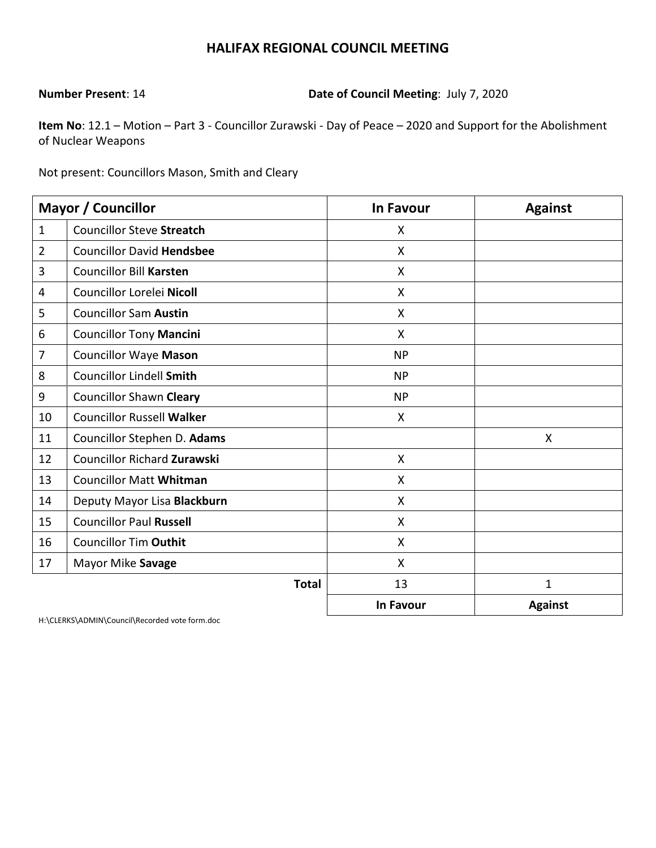**Number Present**: 14 **Date of Council Meeting**: July 7, 2020

**Item No**: 12.1 – Motion – Part 3 - Councillor Zurawski - Day of Peace – 2020 and Support for the Abolishment of Nuclear Weapons

Not present: Councillors Mason, Smith and Cleary

|                | <b>Mayor / Councillor</b>        | <b>In Favour</b> | <b>Against</b> |
|----------------|----------------------------------|------------------|----------------|
| $\mathbf{1}$   | <b>Councillor Steve Streatch</b> | X                |                |
| $\overline{2}$ | <b>Councillor David Hendsbee</b> | X                |                |
| 3              | <b>Councillor Bill Karsten</b>   | X                |                |
| 4              | Councillor Lorelei Nicoll        | X                |                |
| 5              | <b>Councillor Sam Austin</b>     | X                |                |
| 6              | <b>Councillor Tony Mancini</b>   | $\mathsf{X}$     |                |
| $\overline{7}$ | <b>Councillor Waye Mason</b>     | <b>NP</b>        |                |
| 8              | <b>Councillor Lindell Smith</b>  | <b>NP</b>        |                |
| 9              | <b>Councillor Shawn Cleary</b>   | <b>NP</b>        |                |
| 10             | <b>Councillor Russell Walker</b> | X                |                |
| 11             | Councillor Stephen D. Adams      |                  | X              |
| 12             | Councillor Richard Zurawski      | X                |                |
| 13             | <b>Councillor Matt Whitman</b>   | X                |                |
| 14             | Deputy Mayor Lisa Blackburn      | X                |                |
| 15             | <b>Councillor Paul Russell</b>   | X                |                |
| 16             | <b>Councillor Tim Outhit</b>     | X                |                |
| 17             | Mayor Mike Savage                | X                |                |
|                | <b>Total</b>                     | 13               | $\mathbf 1$    |
|                |                                  | <b>In Favour</b> | <b>Against</b> |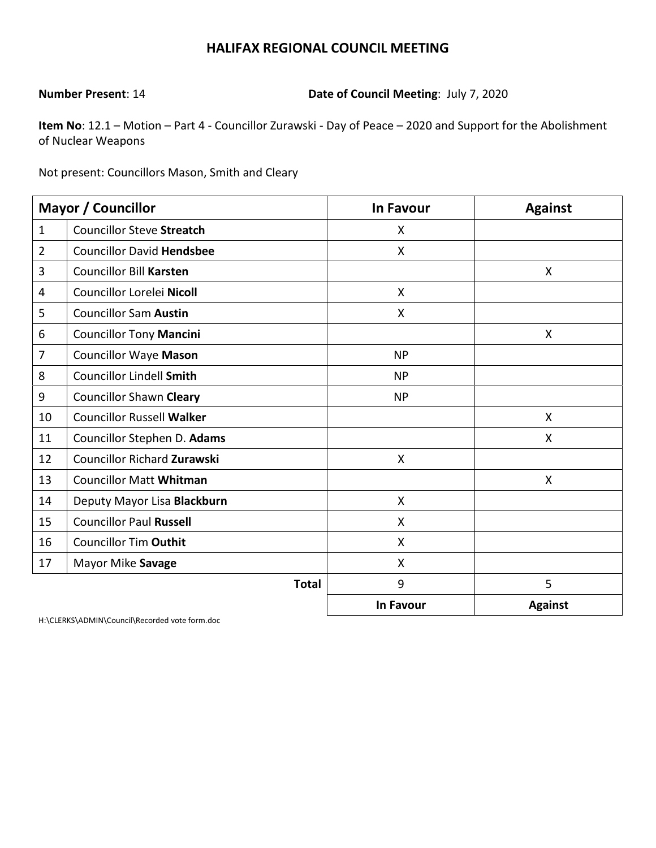**Number Present**: 14 **Date of Council Meeting**: July 7, 2020

**Item No**: 12.1 – Motion – Part 4 - Councillor Zurawski - Day of Peace – 2020 and Support for the Abolishment of Nuclear Weapons

Not present: Councillors Mason, Smith and Cleary

|                | <b>Mayor / Councillor</b>          | <b>In Favour</b>          | <b>Against</b> |
|----------------|------------------------------------|---------------------------|----------------|
| $\mathbf{1}$   | <b>Councillor Steve Streatch</b>   | X                         |                |
| $\overline{2}$ | <b>Councillor David Hendsbee</b>   | $\boldsymbol{\mathsf{X}}$ |                |
| 3              | <b>Councillor Bill Karsten</b>     |                           | X              |
| 4              | Councillor Lorelei Nicoll          | $\mathsf{X}$              |                |
| 5              | <b>Councillor Sam Austin</b>       | $\mathsf{X}$              |                |
| 6              | <b>Councillor Tony Mancini</b>     |                           | X              |
| 7              | <b>Councillor Waye Mason</b>       | <b>NP</b>                 |                |
| 8              | <b>Councillor Lindell Smith</b>    | <b>NP</b>                 |                |
| 9              | <b>Councillor Shawn Cleary</b>     | <b>NP</b>                 |                |
| 10             | <b>Councillor Russell Walker</b>   |                           | X              |
| 11             | Councillor Stephen D. Adams        |                           | X              |
| 12             | <b>Councillor Richard Zurawski</b> | $\mathsf{X}$              |                |
| 13             | <b>Councillor Matt Whitman</b>     |                           | X              |
| 14             | Deputy Mayor Lisa Blackburn        | X                         |                |
| 15             | <b>Councillor Paul Russell</b>     | $\boldsymbol{\mathsf{X}}$ |                |
| 16             | <b>Councillor Tim Outhit</b>       | X                         |                |
| 17             | Mayor Mike Savage                  | X                         |                |
|                | <b>Total</b>                       | 9                         | 5              |
|                |                                    | <b>In Favour</b>          | <b>Against</b> |